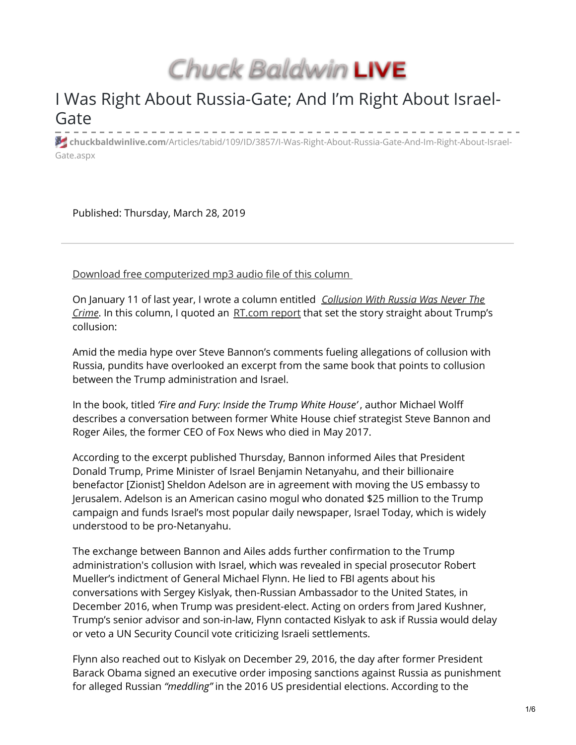Chuck Baldwin LIVE

# I Was Right About Russia-Gate; And I'm Right About Israel-Gate

**chuckbaldwinlive.com**[/Articles/tabid/109/ID/3857/I-Was-Right-About-Russia-Gate-And-Im-Right-About-Israel-](https://chuckbaldwinlive.com/Articles/tabid/109/ID/3857/I-Was-Right-About-Russia-Gate-And-Im-Right-About-Israel-Gate.aspx)Gate.aspx

Published: Thursday, March 28, 2019

Download free [computerized](https://chuckbaldwinlive.com/Portals/1/Content/Files/column-audio/2019_03-28_CB-Column_audio.mp3) mp3 audio file of this column

On January 11 of last year, I wrote a column entitled *[Collusion](https://chuckbaldwinlive.com/Articles/tabid/109/ID/3695/Collusion-With-Russia-Was-Never-The-Crime.aspx) With Russia Was Never The Crime*. In this column, I quoted an [RT.com](https://www.rt.com/usa/415011-bannon-trump-israel-collusion/) report that set the story straight about Trump's collusion:

Amid the media hype over Steve Bannon's comments fueling allegations of collusion with Russia, pundits have overlooked an excerpt from the same book that points to collusion between the Trump administration and Israel.

In the book, titled *'Fire and Fury: Inside the Trump White House'* , author Michael Wolff describes a conversation between former White House chief strategist Steve Bannon and Roger Ailes, the former CEO of Fox News who died in May 2017.

According to the excerpt published Thursday, Bannon informed Ailes that President Donald Trump, Prime Minister of Israel Benjamin Netanyahu, and their billionaire benefactor [Zionist] Sheldon Adelson are in agreement with moving the US embassy to Jerusalem. Adelson is an American casino mogul who donated \$25 million to the Trump campaign and funds Israel's most popular daily newspaper, Israel Today, which is widely understood to be pro-Netanyahu.

The exchange between Bannon and Ailes adds further confirmation to the Trump administration's collusion with Israel, which was revealed in special prosecutor Robert Mueller's indictment of General Michael Flynn. He lied to FBI agents about his conversations with Sergey Kislyak, then-Russian Ambassador to the United States, in December 2016, when Trump was president-elect. Acting on orders from Jared Kushner, Trump's senior advisor and son-in-law, Flynn contacted Kislyak to ask if Russia would delay or veto a UN Security Council vote criticizing Israeli settlements.

Flynn also reached out to Kislyak on December 29, 2016, the day after former President Barack Obama signed an executive order imposing sanctions against Russia as punishment for alleged Russian *"meddling"* in the 2016 US presidential elections. According to the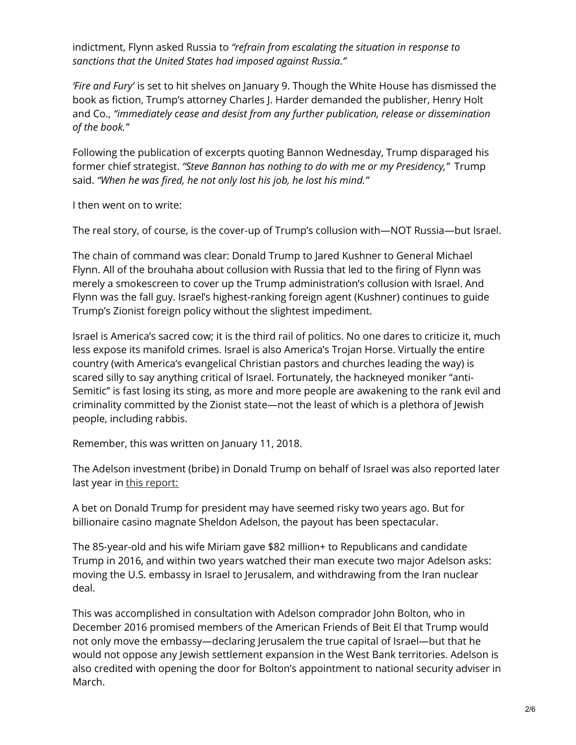indictment, Flynn asked Russia to *"refrain from escalating the situation in response to sanctions that the United States had imposed against Russia*.*"*

*'Fire and Fury'* is set to hit shelves on January 9. Though the White House has dismissed the book as fiction, Trump's attorney Charles J. Harder demanded the publisher, Henry Holt and Co., *"immediately cease and desist from any further publication, release or dissemination of the book."*

Following the publication of excerpts quoting Bannon Wednesday, Trump disparaged his former chief strategist. *"Steve Bannon has nothing to do with me or my Presidency,"* Trump said. *"When he was fired, he not only lost his job, he lost his mind."*

I then went on to write:

The real story, of course, is the cover-up of Trump's collusion with—NOT Russia—but Israel.

The chain of command was clear: Donald Trump to Jared Kushner to General Michael Flynn. All of the brouhaha about collusion with Russia that led to the firing of Flynn was merely a smokescreen to cover up the Trump administration's collusion with Israel. And Flynn was the fall guy. Israel's highest-ranking foreign agent (Kushner) continues to guide Trump's Zionist foreign policy without the slightest impediment.

Israel is America's sacred cow; it is the third rail of politics. No one dares to criticize it, much less expose its manifold crimes. Israel is also America's Trojan Horse. Virtually the entire country (with America's evangelical Christian pastors and churches leading the way) is scared silly to say anything critical of Israel. Fortunately, the hackneyed moniker "anti-Semitic" is fast losing its sting, as more and more people are awakening to the rank evil and criminality committed by the Zionist state—not the least of which is a plethora of Jewish people, including rabbis.

Remember, this was written on January 11, 2018.

The Adelson investment (bribe) in Donald Trump on behalf of Israel was also reported later last year in this [report:](https://israelpalestinenews.org/sheldon-adelsons-82-million-donation-bought-u-s-israel-policies/)

A bet on Donald Trump for president may have seemed risky two years ago. But for billionaire casino magnate Sheldon Adelson, the payout has been spectacular.

The 85-year-old and his wife Miriam gave \$82 million+ to Republicans and candidate Trump in 2016, and within two years watched their man execute two major Adelson asks: moving the U.S. embassy in Israel to Jerusalem, and withdrawing from the Iran nuclear deal.

This was accomplished in consultation with Adelson comprador John Bolton, who in December 2016 promised members of the American Friends of Beit El that Trump would not only move the embassy—declaring Jerusalem the true capital of Israel—but that he would not oppose any Jewish settlement expansion in the West Bank territories. Adelson is also credited with opening the door for Bolton's appointment to national security adviser in March.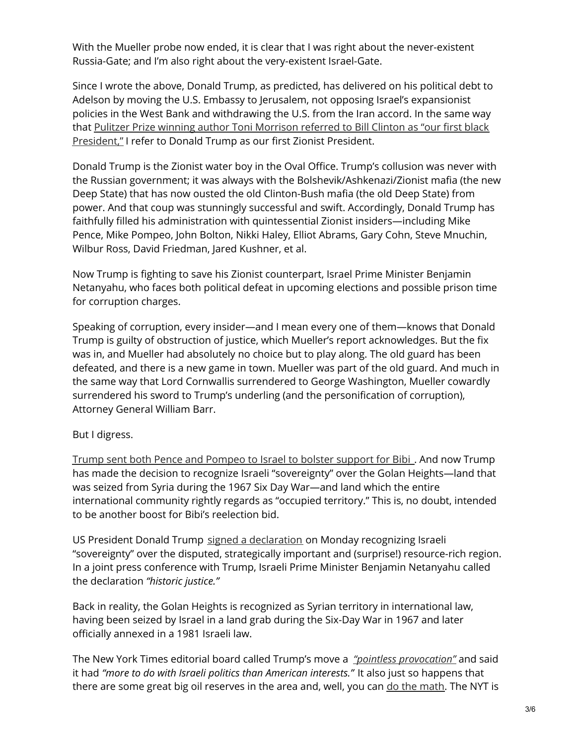With the Mueller probe now ended, it is clear that I was right about the never-existent Russia-Gate; and I'm also right about the very-existent Israel-Gate.

Since I wrote the above, Donald Trump, as predicted, has delivered on his political debt to Adelson by moving the U.S. Embassy to Jerusalem, not opposing Israel's expansionist policies in the West Bank and withdrawing the U.S. from the Iran accord. In the same way that Pulitzer Prize winning author Toni Morrison referred to Bill Clinton as "our first black [President,"](https://www.newyorker.com/magazine/1998/10/05/comment-6543) I refer to Donald Trump as our first Zionist President.

Donald Trump is the Zionist water boy in the Oval Office. Trump's collusion was never with the Russian government; it was always with the Bolshevik/Ashkenazi/Zionist mafia (the new Deep State) that has now ousted the old Clinton-Bush mafia (the old Deep State) from power. And that coup was stunningly successful and swift. Accordingly, Donald Trump has faithfully filled his administration with quintessential Zionist insiders—including Mike Pence, Mike Pompeo, John Bolton, Nikki Haley, Elliot Abrams, Gary Cohn, Steve Mnuchin, Wilbur Ross, David Friedman, Jared Kushner, et al.

Now Trump is fighting to save his Zionist counterpart, Israel Prime Minister Benjamin Netanyahu, who faces both political defeat in upcoming elections and possible prison time for corruption charges.

Speaking of corruption, every insider—and I mean every one of them—knows that Donald Trump is guilty of obstruction of justice, which Mueller's report acknowledges. But the fix was in, and Mueller had absolutely no choice but to play along. The old guard has been defeated, and there is a new game in town. Mueller was part of the old guard. And much in the same way that Lord Cornwallis surrendered to George Washington, Mueller cowardly surrendered his sword to Trump's underling (and the personification of corruption), Attorney General William Barr.

# But I digress.

Trump sent both Pence and [Pompeo](https://www.jpost.com/Israel-Elections/Is-Donald-Trump-campaigning-for-Netanyahu-584122) to Israel to bolster support for Bibi . And now Trump has made the decision to recognize Israeli "sovereignty" over the Golan Heights—land that was seized from Syria during the 1967 Six Day War—and land which the entire international community rightly regards as "occupied territory." This is, no doubt, intended to be another boost for Bibi's reelection bid.

US President Donald Trump signed a [declaration](https://www.rt.com/news/454711-trump-signs-golan-heights/) on Monday recognizing Israeli "sovereignty" over the disputed, strategically important and (surprise!) resource-rich region. In a joint press conference with Trump, Israeli Prime Minister Benjamin Netanyahu called the declaration *"historic justice."*

Back in reality, the Golan Heights is recognized as Syrian territory in international law, having been seized by Israel in a land grab during the Six-Day War in 1967 and later officially annexed in a 1981 Israeli law.

The New York Times editorial board called Trump's move a *"pointless [provocation"](https://www.nytimes.com/2019/03/24/opinion/trump-israel-golan-heights.html)* and said it had *"more to do with Israeli politics than American interests."* It also just so happens that there are some great big oil reserves in the area and, well, you can do the [math.](https://www.rt.com/op-ed/454231-golan-heights-oil-recognise/) The NYT is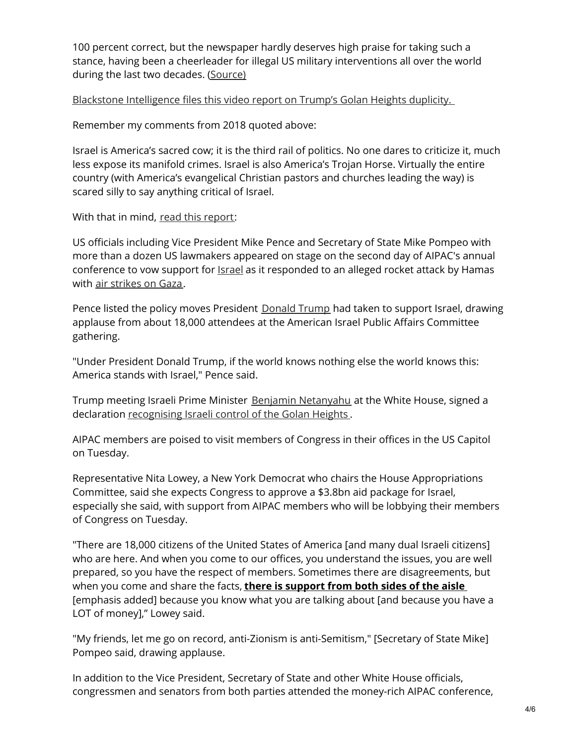100 percent correct, but the newspaper hardly deserves high praise for taking such a stance, having been a cheerleader for illegal US military interventions all over the world during the last two decades. [\(Source\)](https://www.rt.com/op-ed/454740-us-golan-heights-sovereignty/)

Blackstone [Intelligence](https://www.youtube.com/watch?v=LYvW2Em1uLs&feature=youtu.be) files this video report on Trump's Golan Heights duplicity.

Remember my comments from 2018 quoted above:

Israel is America's sacred cow; it is the third rail of politics. No one dares to criticize it, much less expose its manifold crimes. Israel is also America's Trojan Horse. Virtually the entire country (with America's evangelical Christian pastors and churches leading the way) is scared silly to say anything critical of Israel.

With that in mind, read this [report](https://www.aljazeera.com/news/2019/03/officials-vow-support-israel-aipac-conference-190326012020961.html):

US officials including Vice President Mike Pence and Secretary of State Mike Pompeo with more than a dozen US lawmakers appeared on stage on the second day of AIPAC's annual conference to vow support for [Israel](https://www.aljazeera.com/topics/country/israel.html) as it responded to an alleged rocket attack by Hamas with air [strikes](https://www.aljazeera.com/news/2019/03/people-wounded-rocket-attack-central-israel-190325041026437.html) on Gaza.

Pence listed the policy moves President [Donald](https://www.aljazeera.com/topics/people/donald-trump.html) Trump had taken to support Israel, drawing applause from about 18,000 attendees at the American Israel Public Affairs Committee gathering.

"Under President Donald Trump, if the world knows nothing else the world knows this: America stands with Israel," Pence said.

Trump meeting Israeli Prime Minister Benjamin [Netanyahu](https://www.aljazeera.com/topics/people/benjamin-netanyahu.html) at the White House, signed a declaration [recognising](https://www.aljazeera.com/news/2019/03/trump-formally-recognises-israeli-sovereignty-golan-heights-190325153937336.html) Israeli control of the Golan Heights.

AIPAC members are poised to visit members of Congress in their offices in the US Capitol on Tuesday.

Representative Nita Lowey, a New York Democrat who chairs the House Appropriations Committee, said she expects Congress to approve a \$3.8bn aid package for Israel, especially she said, with support from AIPAC members who will be lobbying their members of Congress on Tuesday.

"There are 18,000 citizens of the United States of America [and many dual Israeli citizens] who are here. And when you come to our offices, you understand the issues, you are well prepared, so you have the respect of members. Sometimes there are disagreements, but when you come and share the facts, **there is support from both sides of the aisle** [emphasis added] because you know what you are talking about [and because you have a LOT of money]," Lowey said.

"My friends, let me go on record, anti-Zionism is anti-Semitism," [Secretary of State Mike] Pompeo said, drawing applause.

In addition to the Vice President, Secretary of State and other White House officials, congressmen and senators from both parties attended the money-rich AIPAC conference,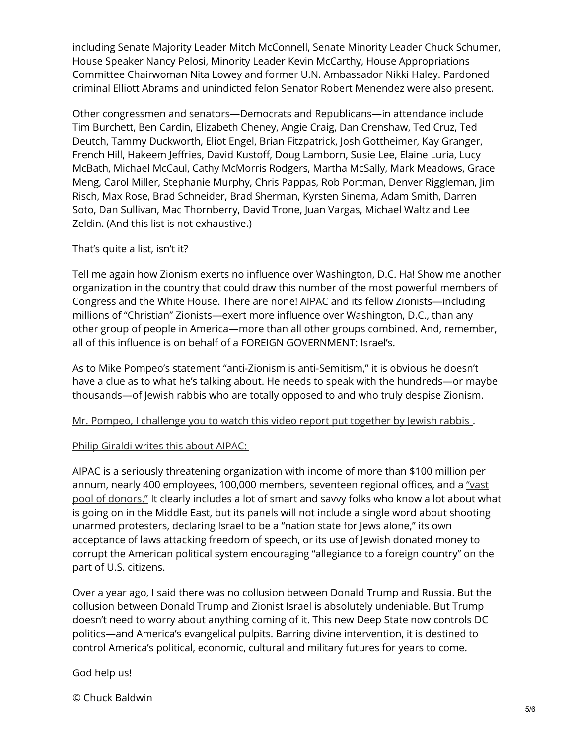including Senate Majority Leader Mitch McConnell, Senate Minority Leader Chuck Schumer, House Speaker Nancy Pelosi, Minority Leader Kevin McCarthy, House Appropriations Committee Chairwoman Nita Lowey and former U.N. Ambassador Nikki Haley. Pardoned criminal Elliott Abrams and unindicted felon Senator Robert Menendez were also present.

Other congressmen and senators—Democrats and Republicans—in attendance include Tim Burchett, Ben Cardin, Elizabeth Cheney, Angie Craig, Dan Crenshaw, Ted Cruz, Ted Deutch, Tammy Duckworth, Eliot Engel, Brian Fitzpatrick, Josh Gottheimer, Kay Granger, French Hill, Hakeem Jeffries, David Kustoff, Doug Lamborn, Susie Lee, Elaine Luria, Lucy McBath, Michael McCaul, Cathy McMorris Rodgers, Martha McSally, Mark Meadows, Grace Meng, Carol Miller, Stephanie Murphy, Chris Pappas, Rob Portman, Denver Riggleman, Jim Risch, Max Rose, Brad Schneider, Brad Sherman, Kyrsten Sinema, Adam Smith, Darren Soto, Dan Sullivan, Mac Thornberry, David Trone, Juan Vargas, Michael Waltz and Lee Zeldin. (And this list is not exhaustive.)

#### That's quite a list, isn't it?

Tell me again how Zionism exerts no influence over Washington, D.C. Ha! Show me another organization in the country that could draw this number of the most powerful members of Congress and the White House. There are none! AIPAC and its fellow Zionists—including millions of "Christian" Zionists—exert more influence over Washington, D.C., than any other group of people in America—more than all other groups combined. And, remember, all of this influence is on behalf of a FOREIGN GOVERNMENT: Israel's.

As to Mike Pompeo's statement "anti-Zionism is anti-Semitism," it is obvious he doesn't have a clue as to what he's talking about. He needs to speak with the hundreds—or maybe thousands—of Jewish rabbis who are totally opposed to and who truly despise Zionism.

#### Mr. Pompeo, I [challenge](https://www.youtube.com/watch?v=F0t2tMVpiK0) you to watch this video report put together by Jewish rabbis.

## Philip [Giraldi](http://www.unz.com/pgiraldi/aipac-is-coming-to-town-again/) writes this about AIPAC:

AIPAC is a seriously threatening organization with income of more than \$100 million per annum, nearly 400 [employees,](https://www.newyorker.com/magazine/2014/09/01/friends-israel) 100,000 members, seventeen regional offices, and a "vast pool of donors." It clearly includes a lot of smart and savvy folks who know a lot about what is going on in the Middle East, but its panels will not include a single word about shooting unarmed protesters, declaring Israel to be a "nation state for Jews alone," its own acceptance of laws attacking freedom of speech, or its use of Jewish donated money to corrupt the American political system encouraging "allegiance to a foreign country" on the part of U.S. citizens.

Over a year ago, I said there was no collusion between Donald Trump and Russia. But the collusion between Donald Trump and Zionist Israel is absolutely undeniable. But Trump doesn't need to worry about anything coming of it. This new Deep State now controls DC politics—and America's evangelical pulpits. Barring divine intervention, it is destined to control America's political, economic, cultural and military futures for years to come.

## God help us!

© Chuck Baldwin